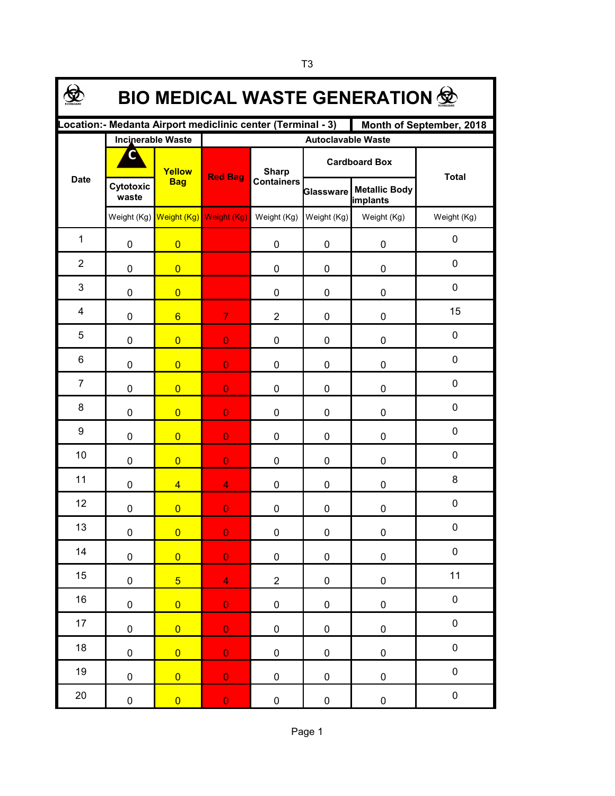| <b>BIO MEDICAL WASTE GENERATION 堂</b>                                                    |                          |                         |                           |                                   |             |                                  |              |  |  |  |  |  |
|------------------------------------------------------------------------------------------|--------------------------|-------------------------|---------------------------|-----------------------------------|-------------|----------------------------------|--------------|--|--|--|--|--|
| Location: - Medanta Airport mediclinic center (Terminal - 3)<br>Month of September, 2018 |                          |                         |                           |                                   |             |                                  |              |  |  |  |  |  |
|                                                                                          | <b>Incinerable Waste</b> |                         | <b>Autoclavable Waste</b> |                                   |             |                                  |              |  |  |  |  |  |
| <b>Date</b>                                                                              | C                        | Yellow<br><b>Bag</b>    | <b>Red Bag</b>            | <b>Sharp</b><br><b>Containers</b> |             | <b>Cardboard Box</b>             | <b>Total</b> |  |  |  |  |  |
|                                                                                          | Cytotoxic<br>waste       |                         |                           |                                   | Glassware   | <b>Metallic Body</b><br>implants |              |  |  |  |  |  |
|                                                                                          |                          | Weight (Kg) Weight (Kg) | Weight (Kg)               | Weight (Kg)                       | Weight (Kg) | Weight (Kg)                      | Weight (Kg)  |  |  |  |  |  |
| $\mathbf{1}$                                                                             | 0                        | $\overline{0}$          |                           | 0                                 | 0           | $\pmb{0}$                        | $\mathbf 0$  |  |  |  |  |  |
| $\overline{2}$                                                                           | 0                        | $\overline{0}$          |                           | 0                                 | 0           | 0                                | $\mathbf 0$  |  |  |  |  |  |
| 3                                                                                        | 0                        | $\overline{0}$          |                           | 0                                 | 0           | 0                                | $\mathbf 0$  |  |  |  |  |  |
| 4                                                                                        | 0                        | $6\overline{6}$         | $\overline{7}$            | $\overline{2}$                    | 0           | 0                                | 15           |  |  |  |  |  |
| 5                                                                                        | 0                        | $\overline{0}$          | $\overline{0}$            | 0                                 | 0           | 0                                | $\mathbf 0$  |  |  |  |  |  |
| 6                                                                                        | 0                        | $\overline{0}$          | $\overline{0}$            | 0                                 | 0           | 0                                | 0            |  |  |  |  |  |
| $\overline{7}$                                                                           | 0                        | $\overline{0}$          | $\overline{0}$            | 0                                 | 0           | 0                                | 0            |  |  |  |  |  |
| 8                                                                                        | 0                        | $\overline{0}$          | $\overline{0}$            | 0                                 | 0           | 0                                | $\mathbf 0$  |  |  |  |  |  |
| 9                                                                                        | 0                        | $\overline{0}$          | $\overline{0}$            | 0                                 | 0           | 0                                | $\mathbf 0$  |  |  |  |  |  |
| 10                                                                                       | 0                        | $\overline{0}$          | $\overline{0}$            | 0                                 | 0           | 0                                | $\mathbf 0$  |  |  |  |  |  |
| 11                                                                                       | 0                        | $\overline{4}$          | $\overline{4}$            | 0                                 | 0           | 0                                | $\bf 8$      |  |  |  |  |  |
| 12                                                                                       | 0                        | $\overline{0}$          | $\overline{0}$            | 0                                 | 0           | $\mathbf 0$                      | $\pmb{0}$    |  |  |  |  |  |
| 13                                                                                       | $\pmb{0}$                | $\overline{0}$          | $\overline{0}$            | 0                                 | $\pmb{0}$   | $\pmb{0}$                        | $\pmb{0}$    |  |  |  |  |  |
| 14                                                                                       | $\pmb{0}$                | $\overline{0}$          | $\overline{0}$            | $\pmb{0}$                         | $\pmb{0}$   | $\pmb{0}$                        | $\pmb{0}$    |  |  |  |  |  |
| 15                                                                                       | 0                        | 5 <sup>5</sup>          | $\overline{4}$            | $\overline{c}$                    | 0           | $\pmb{0}$                        | 11           |  |  |  |  |  |
| 16                                                                                       | $\mathbf 0$              | $\overline{0}$          | $\overline{0}$            | $\pmb{0}$                         | 0           | $\pmb{0}$                        | $\pmb{0}$    |  |  |  |  |  |
| 17                                                                                       | $\pmb{0}$                | $\overline{0}$          | $\overline{0}$            | 0                                 | 0           | $\pmb{0}$                        | $\pmb{0}$    |  |  |  |  |  |
| 18                                                                                       | $\pmb{0}$                | $\overline{0}$          | $\overline{0}$            | $\pmb{0}$                         | 0           | $\pmb{0}$                        | $\pmb{0}$    |  |  |  |  |  |
| 19                                                                                       | $\pmb{0}$                | $\overline{0}$          | $\mathbf 0$               | $\pmb{0}$                         | 0           | $\pmb{0}$                        | $\pmb{0}$    |  |  |  |  |  |
| $20\,$                                                                                   | 0                        | $\overline{0}$          | $\mathbf 0$               | 0                                 | 0           | $\pmb{0}$                        | $\pmb{0}$    |  |  |  |  |  |